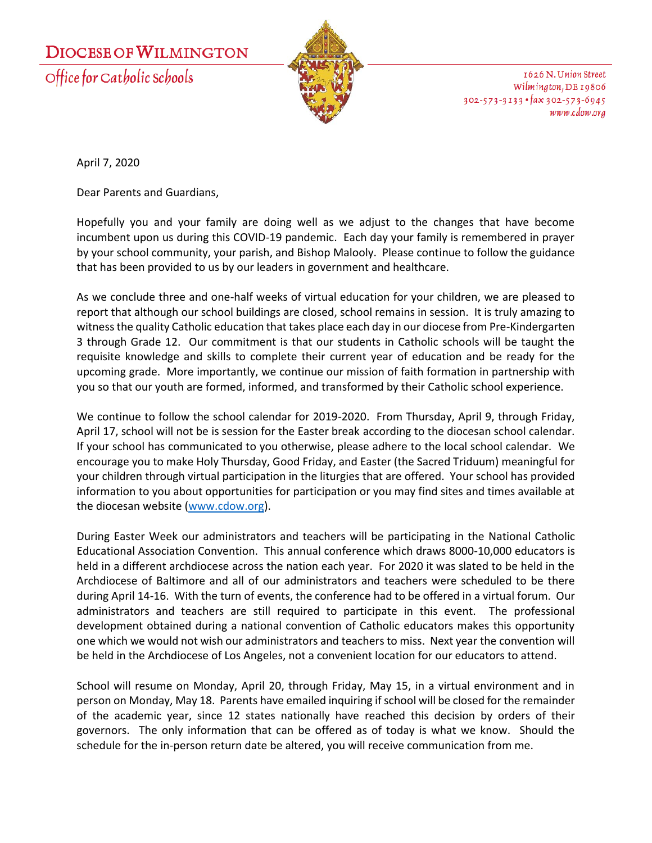## **DIOCESE OF WILMINGTON**

Office for Catholic Schools



1626 N. Union Street Wilmington, DE 19806  $302 - 573 - 3133$  · fax  $302 - 573 - 6945$ www.cdow.org

April 7, 2020

Dear Parents and Guardians,

Hopefully you and your family are doing well as we adjust to the changes that have become incumbent upon us during this COVID-19 pandemic. Each day your family is remembered in prayer by your school community, your parish, and Bishop Malooly. Please continue to follow the guidance that has been provided to us by our leaders in government and healthcare.

As we conclude three and one-half weeks of virtual education for your children, we are pleased to report that although our school buildings are closed, school remains in session. It is truly amazing to witness the quality Catholic education that takes place each day in our diocese from Pre-Kindergarten 3 through Grade 12. Our commitment is that our students in Catholic schools will be taught the requisite knowledge and skills to complete their current year of education and be ready for the upcoming grade. More importantly, we continue our mission of faith formation in partnership with you so that our youth are formed, informed, and transformed by their Catholic school experience.

We continue to follow the school calendar for 2019-2020. From Thursday, April 9, through Friday, April 17, school will not be is session for the Easter break according to the diocesan school calendar. If your school has communicated to you otherwise, please adhere to the local school calendar. We encourage you to make Holy Thursday, Good Friday, and Easter (the Sacred Triduum) meaningful for your children through virtual participation in the liturgies that are offered. Your school has provided information to you about opportunities for participation or you may find sites and times available at the diocesan website [\(www.cdow.org\)](http://www.cdow.org/).

During Easter Week our administrators and teachers will be participating in the National Catholic Educational Association Convention. This annual conference which draws 8000-10,000 educators is held in a different archdiocese across the nation each year. For 2020 it was slated to be held in the Archdiocese of Baltimore and all of our administrators and teachers were scheduled to be there during April 14-16. With the turn of events, the conference had to be offered in a virtual forum. Our administrators and teachers are still required to participate in this event. The professional development obtained during a national convention of Catholic educators makes this opportunity one which we would not wish our administrators and teachers to miss. Next year the convention will be held in the Archdiocese of Los Angeles, not a convenient location for our educators to attend.

School will resume on Monday, April 20, through Friday, May 15, in a virtual environment and in person on Monday, May 18. Parents have emailed inquiring if school will be closed for the remainder of the academic year, since 12 states nationally have reached this decision by orders of their governors. The only information that can be offered as of today is what we know. Should the schedule for the in-person return date be altered, you will receive communication from me.